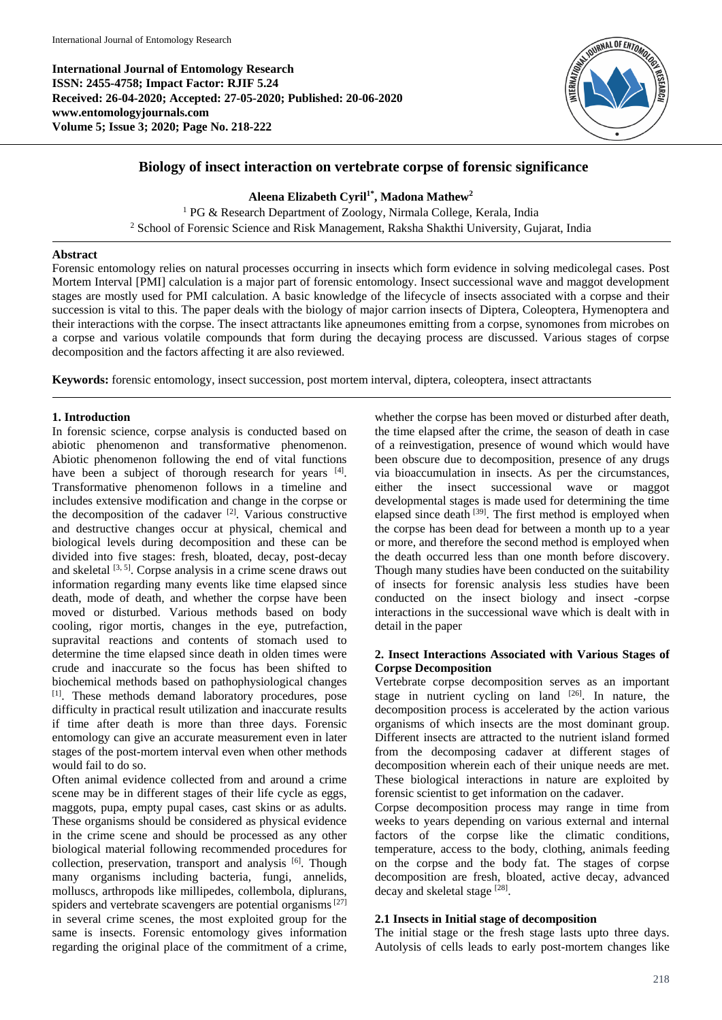**International Journal of Entomology Research ISSN: 2455-4758; Impact Factor: RJIF 5.24 Received: 26-04-2020; Accepted: 27-05-2020; Published: 20-06-2020 www.entomologyjournals.com Volume 5; Issue 3; 2020; Page No. 218-222**



# **Biology of insect interaction on vertebrate corpse of forensic significance**

**Aleena Elizabeth Cyril1\* , Madona Mathew<sup>2</sup>**

<sup>1</sup> PG & Research Department of Zoology, Nirmala College, Kerala, India <sup>2</sup> School of Forensic Science and Risk Management, Raksha Shakthi University, Gujarat, India

#### **Abstract**

Forensic entomology relies on natural processes occurring in insects which form evidence in solving medicolegal cases. Post Mortem Interval [PMI] calculation is a major part of forensic entomology. Insect successional wave and maggot development stages are mostly used for PMI calculation. A basic knowledge of the lifecycle of insects associated with a corpse and their succession is vital to this. The paper deals with the biology of major carrion insects of Diptera, Coleoptera, Hymenoptera and their interactions with the corpse. The insect attractants like apneumones emitting from a corpse, synomones from microbes on a corpse and various volatile compounds that form during the decaying process are discussed. Various stages of corpse decomposition and the factors affecting it are also reviewed.

**Keywords:** forensic entomology, insect succession, post mortem interval, diptera, coleoptera, insect attractants

# **1. Introduction**

In forensic science, corpse analysis is conducted based on abiotic phenomenon and transformative phenomenon. Abiotic phenomenon following the end of vital functions have been a subject of thorough research for years [4]. Transformative phenomenon follows in a timeline and includes extensive modification and change in the corpse or the decomposition of the cadaver  $[2]$ . Various constructive and destructive changes occur at physical, chemical and biological levels during decomposition and these can be divided into five stages: fresh, bloated, decay, post-decay and skeletal  $[3, 5]$ . Corpse analysis in a crime scene draws out information regarding many events like time elapsed since death, mode of death, and whether the corpse have been moved or disturbed. Various methods based on body cooling, rigor mortis, changes in the eye, putrefaction, supravital reactions and contents of stomach used to determine the time elapsed since death in olden times were crude and inaccurate so the focus has been shifted to biochemical methods based on pathophysiological changes [1]. These methods demand laboratory procedures, pose difficulty in practical result utilization and inaccurate results if time after death is more than three days. Forensic entomology can give an accurate measurement even in later stages of the post-mortem interval even when other methods would fail to do so.

Often animal evidence collected from and around a crime scene may be in different stages of their life cycle as eggs, maggots, pupa, empty pupal cases, cast skins or as adults. These organisms should be considered as physical evidence in the crime scene and should be processed as any other biological material following recommended procedures for collection, preservation, transport and analysis [6]. Though many organisms including bacteria, fungi, annelids, molluscs, arthropods like millipedes, collembola, diplurans, spiders and vertebrate scavengers are potential organisms<sup>[27]</sup> in several crime scenes, the most exploited group for the same is insects. Forensic entomology gives information regarding the original place of the commitment of a crime,

whether the corpse has been moved or disturbed after death, the time elapsed after the crime, the season of death in case of a reinvestigation, presence of wound which would have been obscure due to decomposition, presence of any drugs via bioaccumulation in insects. As per the circumstances, either the insect successional wave or maggot developmental stages is made used for determining the time elapsed since death <sup>[39]</sup>. The first method is employed when the corpse has been dead for between a month up to a year or more, and therefore the second method is employed when the death occurred less than one month before discovery. Though many studies have been conducted on the suitability of insects for forensic analysis less studies have been conducted on the insect biology and insect -corpse interactions in the successional wave which is dealt with in detail in the paper

#### **2. Insect Interactions Associated with Various Stages of Corpse Decomposition**

Vertebrate corpse decomposition serves as an important stage in nutrient cycling on land  $[26]$ . In nature, the decomposition process is accelerated by the action various organisms of which insects are the most dominant group. Different insects are attracted to the nutrient island formed from the decomposing cadaver at different stages of decomposition wherein each of their unique needs are met. These biological interactions in nature are exploited by forensic scientist to get information on the cadaver.

Corpse decomposition process may range in time from weeks to years depending on various external and internal factors of the corpse like the climatic conditions, temperature, access to the body, clothing, animals feeding on the corpse and the body fat. The stages of corpse decomposition are fresh, bloated, active decay, advanced decay and skeletal stage [28].

# **2.1 Insects in Initial stage of decomposition**

The initial stage or the fresh stage lasts upto three days. Autolysis of cells leads to early post-mortem changes like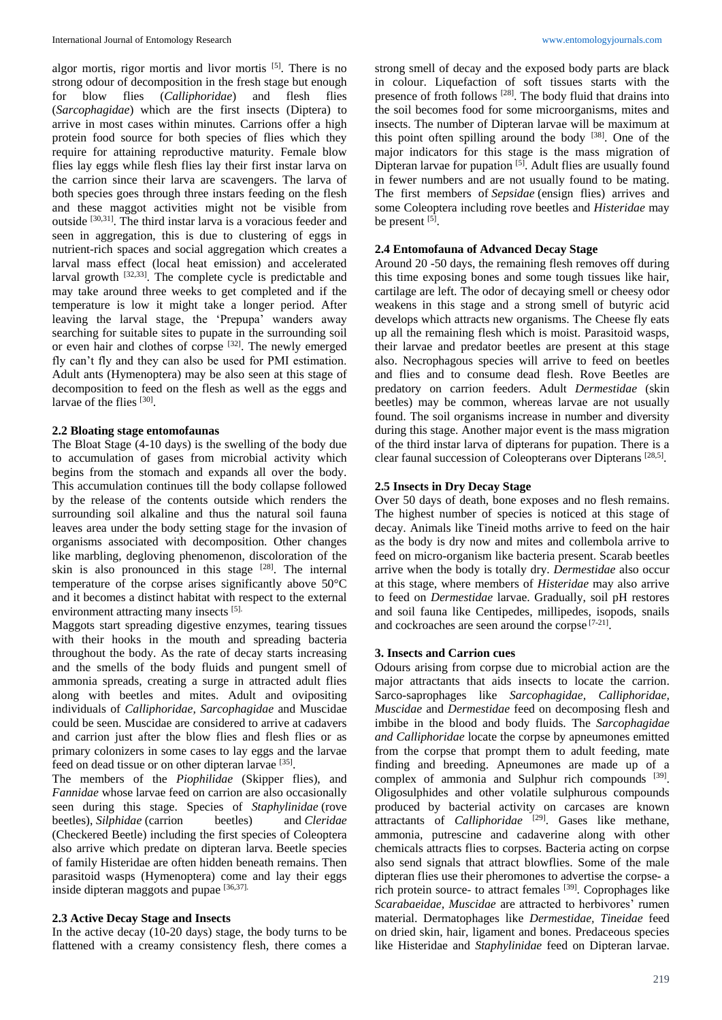algor mortis, rigor mortis and livor mortis <sup>[5]</sup>. There is no strong odour of decomposition in the fresh stage but enough for blow flies (*Calliphoridae*) and flesh flies (*Sarcophagidae*) which are the first insects (Diptera) to arrive in most cases within minutes. Carrions offer a high protein food source for both species of flies which they require for attaining reproductive maturity. Female blow flies lay eggs while flesh flies lay their first instar larva on the carrion since their larva are scavengers. The larva of both species goes through three instars feeding on the flesh and these maggot activities might not be visible from outside [30,31]. The third instar larva is a voracious feeder and seen in aggregation, this is due to clustering of eggs in nutrient-rich spaces and social aggregation which creates a larval mass effect (local heat emission) and accelerated larval growth <sup>[32,33]</sup>. The complete cycle is predictable and may take around three weeks to get completed and if the temperature is low it might take a longer period. After leaving the larval stage, the 'Prepupa' wanders away searching for suitable sites to pupate in the surrounding soil or even hair and clothes of corpse [32]. The newly emerged fly can't fly and they can also be used for PMI estimation. Adult ants (Hymenoptera) may be also seen at this stage of decomposition to feed on the flesh as well as the eggs and larvae of the flies [30].

#### **2.2 Bloating stage entomofaunas**

The Bloat Stage (4-10 days) is the swelling of the body due to accumulation of gases from microbial activity which begins from the stomach and expands all over the body. This accumulation continues till the body collapse followed by the release of the contents outside which renders the surrounding soil alkaline and thus the natural soil fauna leaves area under the body setting stage for the invasion of organisms associated with decomposition. Other changes like marbling, degloving phenomenon, discoloration of the skin is also pronounced in this stage  $[28]$ . The internal temperature of the corpse arises significantly above 50°C and it becomes a distinct habitat with respect to the external environment attracting many insects [5].

Maggots start spreading digestive enzymes, tearing tissues with their hooks in the mouth and spreading bacteria throughout the body. As the rate of decay starts increasing and the smells of the body fluids and pungent smell of ammonia spreads, creating a surge in attracted adult flies along with beetles and mites. Adult and ovipositing individuals of *Calliphoridae, Sarcophagidae* and Muscidae could be seen. Muscidae are considered to arrive at cadavers and carrion just after the blow flies and flesh flies or as primary colonizers in some cases to lay eggs and the larvae feed on dead tissue or on other dipteran larvae [35].

The members of the *Piophilidae* (Skipper flies), and *Fannidae* whose larvae feed on carrion are also occasionally seen during this stage. Species of *Staphylinidae* (rove beetles), *Silphidae* (carrion beetles) and *Cleridae* (Checkered Beetle) including the first species of Coleoptera also arrive which predate on dipteran larva. Beetle species of family Histeridae are often hidden beneath remains. Then parasitoid wasps (Hymenoptera) come and lay their eggs inside dipteran maggots and pupae [36,37].

# **2.3 Active Decay Stage and Insects**

In the active decay (10-20 days) stage, the body turns to be flattened with a creamy consistency flesh, there comes a strong smell of decay and the exposed body parts are black in colour. Liquefaction of soft tissues starts with the presence of froth follows [28] . The body fluid that drains into the soil becomes food for some microorganisms, mites and insects. The number of Dipteran larvae will be maximum at this point often spilling around the body [38]. One of the major indicators for this stage is the mass migration of Dipteran larvae for pupation<sup>[5]</sup>. Adult flies are usually found in fewer numbers and are not usually found to be mating. The first members of *Sepsidae* (ensign flies) arrives and some Coleoptera including rove beetles and *Histeridae* may be present  $^{[5]}$ .

# **2.4 Entomofauna of Advanced Decay Stage**

Around 20 -50 days, the remaining flesh removes off during this time exposing bones and some tough tissues like hair, cartilage are left. The odor of decaying smell or cheesy odor weakens in this stage and a strong smell of butyric acid develops which attracts new organisms. The Cheese fly eats up all the remaining flesh which is moist. Parasitoid wasps, their larvae and predator beetles are present at this stage also. Necrophagous species will arrive to feed on beetles and flies and to consume dead flesh. Rove Beetles are predatory on carrion feeders. Adult *Dermestidae* (skin beetles) may be common, whereas larvae are not usually found. The soil organisms increase in number and diversity during this stage. Another major event is the mass migration of the third instar larva of dipterans for pupation. There is a clear faunal succession of Coleopterans over Dipterans [28,5].

# **2.5 Insects in Dry Decay Stage**

Over 50 days of death, bone exposes and no flesh remains. The highest number of species is noticed at this stage of decay. Animals like Tineid moths arrive to feed on the hair as the body is dry now and mites and collembola arrive to feed on micro-organism like bacteria present. Scarab beetles arrive when the body is totally dry. *Dermestidae* also occur at this stage, where members of *Histeridae* may also arrive to feed on *Dermestidae* larvae. Gradually, soil pH restores and soil fauna like Centipedes, millipedes, isopods, snails and cockroaches are seen around the corpse [7-21] .

# **3. Insects and Carrion cues**

Odours arising from corpse due to microbial action are the major attractants that aids insects to locate the carrion. Sarco-saprophages like *Sarcophagidae, Calliphoridae, Muscidae* and *Dermestidae* feed on decomposing flesh and imbibe in the blood and body fluids. The *Sarcophagidae and Calliphoridae* locate the corpse by apneumones emitted from the corpse that prompt them to adult feeding, mate finding and breeding. Apneumones are made up of a complex of ammonia and Sulphur rich compounds [39]. Oligosulphides and other volatile sulphurous compounds produced by bacterial activity on carcases are known attractants of *Calliphoridae* <sup>[29]</sup>. Gases like methane, ammonia, putrescine and cadaverine along with other chemicals attracts flies to corpses. Bacteria acting on corpse also send signals that attract blowflies. Some of the male dipteran flies use their pheromones to advertise the corpse- a rich protein source- to attract females [39]. Coprophages like *Scarabaeidae, Muscidae* are attracted to herbivores' rumen material. Dermatophages like *Dermestidae, Tineidae* feed on dried skin, hair, ligament and bones. Predaceous species like Histeridae and *Staphylinidae* feed on Dipteran larvae.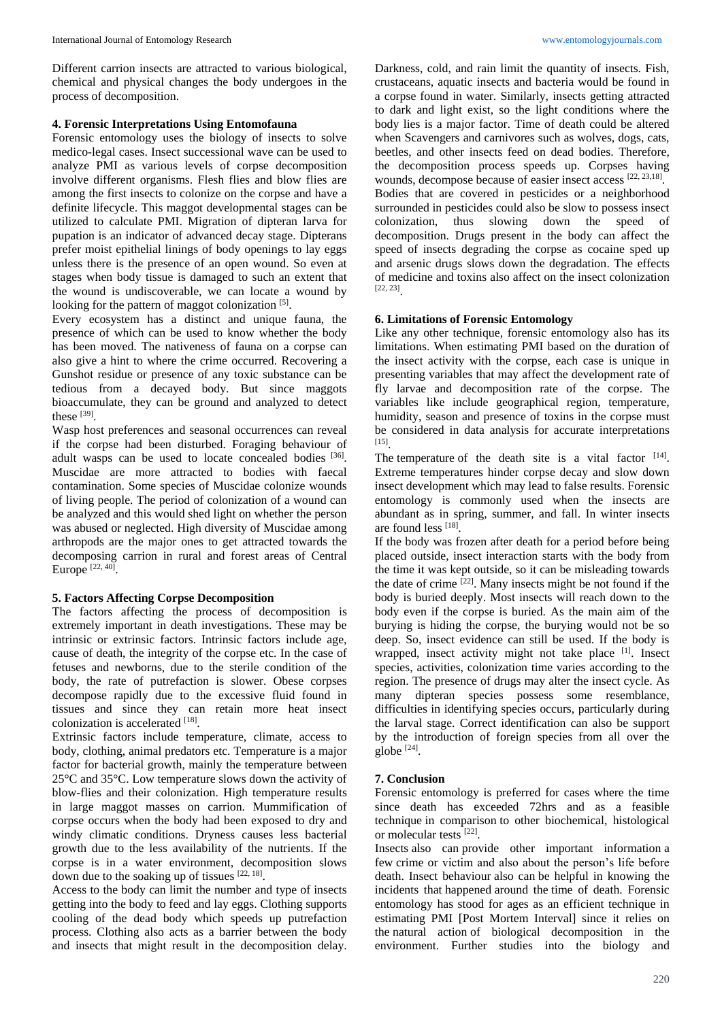Different carrion insects are attracted to various biological, chemical and physical changes the body undergoes in the process of decomposition.

#### **4. Forensic Interpretations Using Entomofauna**

Forensic entomology uses the biology of insects to solve medico-legal cases. Insect successional wave can be used to analyze PMI as various levels of corpse decomposition involve different organisms. Flesh flies and blow flies are among the first insects to colonize on the corpse and have a definite lifecycle. This maggot developmental stages can be utilized to calculate PMI. Migration of dipteran larva for pupation is an indicator of advanced decay stage. Dipterans prefer moist epithelial linings of body openings to lay eggs unless there is the presence of an open wound. So even at stages when body tissue is damaged to such an extent that the wound is undiscoverable, we can locate a wound by looking for the pattern of maggot colonization [5].

Every ecosystem has a distinct and unique fauna, the presence of which can be used to know whether the body has been moved. The nativeness of fauna on a corpse can also give a hint to where the crime occurred. Recovering a Gunshot residue or presence of any toxic substance can be tedious from a decayed body. But since maggots bioaccumulate, they can be ground and analyzed to detect these  $^{[39]}$ .

Wasp host preferences and seasonal occurrences can reveal if the corpse had been disturbed. Foraging behaviour of adult wasps can be used to locate concealed bodies [36]. Muscidae are more attracted to bodies with faecal contamination. Some species of Muscidae colonize wounds of living people. The period of colonization of a wound can be analyzed and this would shed light on whether the person was abused or neglected. High diversity of Muscidae among arthropods are the major ones to get attracted towards the decomposing carrion in rural and forest areas of Central Europe [22, 40].

# **5. Factors Affecting Corpse Decomposition**

The factors affecting the process of decomposition is extremely important in death investigations. These may be intrinsic or extrinsic factors. Intrinsic factors include age, cause of death, the integrity of the corpse etc. In the case of fetuses and newborns, due to the sterile condition of the body, the rate of putrefaction is slower. Obese corpses decompose rapidly due to the excessive fluid found in tissues and since they can retain more heat insect colonization is accelerated [18].

Extrinsic factors include temperature, climate, access to body, clothing, animal predators etc. Temperature is a major factor for bacterial growth, mainly the temperature between 25°C and 35°C. Low temperature slows down the activity of blow-flies and their colonization. High temperature results in large maggot masses on carrion. Mummification of corpse occurs when the body had been exposed to dry and windy climatic conditions. Dryness causes less bacterial growth due to the less availability of the nutrients. If the corpse is in a water environment, decomposition slows down due to the soaking up of tissues  $[22, 18]$ .

Access to the body can limit the number and type of insects getting into the body to feed and lay eggs. Clothing supports cooling of the dead body which speeds up putrefaction process. Clothing also acts as a barrier between the body and insects that might result in the decomposition delay. Darkness, cold, and rain limit the quantity of insects. Fish, crustaceans, aquatic insects and bacteria would be found in a corpse found in water. Similarly, insects getting attracted to dark and light exist, so the light conditions where the body lies is a major factor. Time of death could be altered when Scavengers and carnivores such as wolves, dogs, cats, beetles, and other insects feed on dead bodies. Therefore, the decomposition process speeds up. Corpses having wounds, decompose because of easier insect access [22, 23,18]. Bodies that are covered in pesticides or a neighborhood surrounded in pesticides could also be slow to possess insect colonization, thus slowing down the speed of decomposition. Drugs present in the body can affect the speed of insects degrading the corpse as cocaine sped up and arsenic drugs slows down the degradation. The effects of medicine and toxins also affect on the insect colonization [22, 23] .

# **6. Limitations of Forensic Entomology**

Like any other technique, forensic entomology also has its limitations. When estimating PMI based on the duration of the insect activity with the corpse, each case is unique in presenting variables that may affect the development rate of fly larvae and decomposition rate of the corpse. The variables like include geographical region, temperature, humidity, season and presence of toxins in the corpse must be considered in data analysis for accurate interpretations [15] .

The temperature of the death site is a vital factor  $[14]$ . Extreme temperatures hinder corpse decay and slow down insect development which may lead to false results. Forensic entomology is commonly used when the insects are abundant as in spring, summer, and fall. In winter insects are found less [18] .

If the body was frozen after death for a period before being placed outside, insect interaction starts with the body from the time it was kept outside, so it can be misleading towards the date of crime  $[22]$ . Many insects might be not found if the body is buried deeply. Most insects will reach down to the body even if the corpse is buried. As the main aim of the burying is hiding the corpse, the burying would not be so deep. So, insect evidence can still be used. If the body is wrapped, insect activity might not take place [1]. Insect species, activities, colonization time varies according to the region. The presence of drugs may alter the insect cycle. As many dipteran species possess some resemblance, difficulties in identifying species occurs, particularly during the larval stage. Correct identification can also be support by the introduction of foreign species from all over the  $g$ lobe  $[24]$ .

# **7. Conclusion**

Forensic entomology is preferred for cases where the time since death has exceeded 72hrs and as a feasible technique in comparison to other biochemical, histological or molecular tests [22] .

Insects also can provide other important information a few crime or victim and also about the person's life before death. Insect behaviour also can be helpful in knowing the incidents that happened around the time of death. Forensic entomology has stood for ages as an efficient technique in estimating PMI [Post Mortem Interval] since it relies on the natural action of biological decomposition in the environment. Further studies into the biology and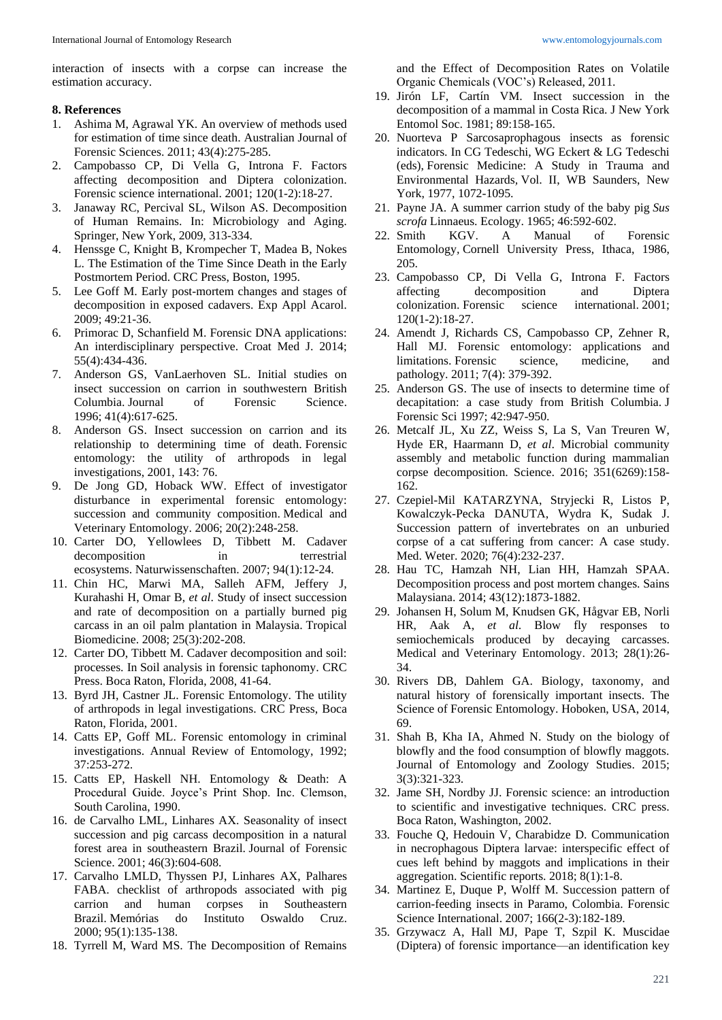interaction of insects with a corpse can increase the estimation accuracy.

#### **8. References**

- 1. Ashima M, Agrawal YK. An overview of methods used for estimation of time since death. Australian Journal of Forensic Sciences. 2011; 43(4):275-285.
- 2. Campobasso CP, Di Vella G, Introna F. Factors affecting decomposition and Diptera colonization. Forensic science international. 2001; 120(1-2):18-27.
- 3. Janaway RC, Percival SL, Wilson AS. Decomposition of Human Remains. In: Microbiology and Aging. Springer, New York, 2009, 313-334.
- 4. Henssge C, Knight B, Krompecher T, Madea B, Nokes L. The Estimation of the Time Since Death in the Early Postmortem Period. CRC Press, Boston, 1995.
- Lee Goff M. Early post-mortem changes and stages of decomposition in exposed cadavers. Exp Appl Acarol. 2009; 49:21-36.
- 6. Primorac D, Schanfield M. Forensic DNA applications: An interdisciplinary perspective. Croat Med J. 2014; 55(4):434-436.
- 7. Anderson GS, VanLaerhoven SL. Initial studies on insect succession on carrion in southwestern British Columbia. Journal of Forensic Science. 1996; 41(4):617-625.
- 8. Anderson GS. Insect succession on carrion and its relationship to determining time of death. Forensic entomology: the utility of arthropods in legal investigations, 2001, 143: 76.
- 9. De Jong GD, Hoback WW. Effect of investigator disturbance in experimental forensic entomology: succession and community composition. Medical and Veterinary Entomology. 2006; 20(2):248-258.
- 10. Carter DO, Yellowlees D, Tibbett M. Cadaver decomposition in terrestrial ecosystems. Naturwissenschaften. 2007; 94(1):12-24.
- 11. Chin HC, Marwi MA, Salleh AFM, Jeffery J, Kurahashi H, Omar B, *et al*. Study of insect succession and rate of decomposition on a partially burned pig carcass in an oil palm plantation in Malaysia. Tropical Biomedicine. 2008; 25(3):202-208.
- 12. Carter DO, Tibbett M. Cadaver decomposition and soil: processes. In Soil analysis in forensic taphonomy. CRC Press. Boca Raton, Florida, 2008, 41-64.
- 13. Byrd JH, Castner JL. Forensic Entomology. The utility of arthropods in legal investigations. CRC Press, Boca Raton, Florida, 2001.
- 14. Catts EP, Goff ML. Forensic entomology in criminal investigations. Annual Review of Entomology, 1992; 37:253-272.
- 15. Catts EP, Haskell NH. Entomology & Death: A Procedural Guide. Joyce's Print Shop. Inc. Clemson, South Carolina, 1990.
- 16. de Carvalho LML, Linhares AX. Seasonality of insect succession and pig carcass decomposition in a natural forest area in southeastern Brazil. Journal of Forensic Science. 2001; 46(3):604-608.
- 17. Carvalho LMLD, Thyssen PJ, Linhares AX, Palhares FABA. checklist of arthropods associated with pig carrion and human corpses in Southeastern Brazil. Memórias do Instituto Oswaldo Cruz. 2000; 95(1):135-138.
- 18. Tyrrell M, Ward MS. The Decomposition of Remains

and the Effect of Decomposition Rates on Volatile Organic Chemicals (VOC's) Released, 2011.

- 19. Jirón LF, Cartín VM. Insect succession in the decomposition of a mammal in Costa Rica. J New York Entomol Soc. 1981; 89:158-165.
- 20. Nuorteva P Sarcosaprophagous insects as forensic indicators. In CG Tedeschi, WG Eckert & LG Tedeschi (eds), Forensic Medicine: A Study in Trauma and Environmental Hazards*,* Vol. II, WB Saunders, New York, 1977, 1072-1095.
- 21. Payne JA. A summer carrion study of the baby pig *Sus scrofa* Linnaeus. Ecology. 1965; 46:592-602.
- 22. Smith KGV. A Manual of Forensic Entomology*,* Cornell University Press, Ithaca, 1986, 205.
- 23. Campobasso CP, Di Vella G, Introna F. Factors affecting decomposition and Diptera colonization. Forensic science international. 2001; 120(1-2):18-27.
- 24. Amendt J, Richards CS, Campobasso CP, Zehner R, Hall MJ. Forensic entomology: applications and limitations. Forensic science, medicine, and pathology. 2011; 7(4): 379-392.
- 25. Anderson GS. The use of insects to determine time of decapitation: a case study from British Columbia. J Forensic Sci 1997; 42:947-950.
- 26. Metcalf JL, Xu ZZ, Weiss S, La S, Van Treuren W, Hyde ER, Haarmann D, *et al*. Microbial community assembly and metabolic function during mammalian corpse decomposition. Science. 2016; 351(6269):158- 162.
- 27. Czepiel-Mil KATARZYNA, Stryjecki R, Listos P, Kowalczyk-Pecka DANUTA, Wydra K, Sudak J. Succession pattern of invertebrates on an unburied corpse of a cat suffering from cancer: A case study. Med. Weter. 2020; 76(4):232-237.
- 28. Hau TC, Hamzah NH, Lian HH, Hamzah SPAA. Decomposition process and post mortem changes. Sains Malaysiana. 2014; 43(12):1873-1882.
- 29. Johansen H, Solum M, Knudsen GK, Hågvar EB, Norli HR, Aak A, *et al*. Blow fly responses to semiochemicals produced by decaying carcasses. Medical and Veterinary Entomology. 2013; 28(1):26- 34.
- 30. Rivers DB, Dahlem GA. Biology, taxonomy, and natural history of forensically important insects. The Science of Forensic Entomology. Hoboken, USA, 2014, 69.
- 31. Shah B, Kha IA, Ahmed N. Study on the biology of blowfly and the food consumption of blowfly maggots. Journal of Entomology and Zoology Studies. 2015; 3(3):321-323.
- 32. Jame SH, Nordby JJ. Forensic science: an introduction to scientific and investigative techniques. CRC press. Boca Raton, Washington, 2002.
- 33. Fouche Q, Hedouin V, Charabidze D. Communication in necrophagous Diptera larvae: interspecific effect of cues left behind by maggots and implications in their aggregation. Scientific reports. 2018; 8(1):1-8.
- 34. Martinez E, Duque P, Wolff M. Succession pattern of carrion-feeding insects in Paramo, Colombia. Forensic Science International. 2007; 166(2-3):182-189.
- 35. Grzywacz A, Hall MJ, Pape T, Szpil K. Muscidae (Diptera) of forensic importance—an identification key